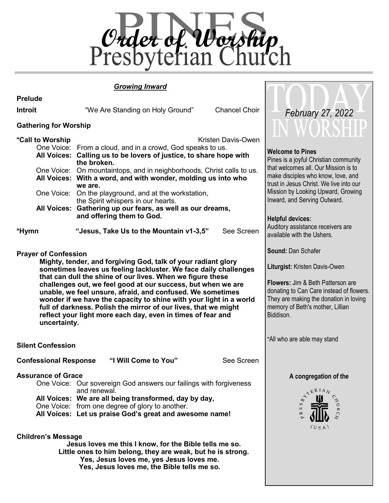

## *Growing Inward*

|                                                                    | <b>Growing Inward</b>                                                                                                                                                                                                                                                                                                                                                                                                                                                                                                                                                         |                                                                                                                                                                                                                                                                                                                                                                                     |  |
|--------------------------------------------------------------------|-------------------------------------------------------------------------------------------------------------------------------------------------------------------------------------------------------------------------------------------------------------------------------------------------------------------------------------------------------------------------------------------------------------------------------------------------------------------------------------------------------------------------------------------------------------------------------|-------------------------------------------------------------------------------------------------------------------------------------------------------------------------------------------------------------------------------------------------------------------------------------------------------------------------------------------------------------------------------------|--|
| <b>Prelude</b>                                                     |                                                                                                                                                                                                                                                                                                                                                                                                                                                                                                                                                                               |                                                                                                                                                                                                                                                                                                                                                                                     |  |
| <b>Introit</b>                                                     | <b>Chancel Choir</b><br>"We Are Standing on Holy Ground"                                                                                                                                                                                                                                                                                                                                                                                                                                                                                                                      | February 27, 2022                                                                                                                                                                                                                                                                                                                                                                   |  |
| <b>Gathering for Worship</b>                                       |                                                                                                                                                                                                                                                                                                                                                                                                                                                                                                                                                                               | IN WORSHIP                                                                                                                                                                                                                                                                                                                                                                          |  |
| *Call to Worship<br>*Hymn<br><b>Prayer of Confession</b>           | Kristen Davis-Owen<br>One Voice: From a cloud, and in a crowd, God speaks to us.<br>All Voices: Calling us to be lovers of justice, to share hope with<br>the broken.<br>One Voice: On mountaintops, and in neighborhoods, Christ calls to us.<br>All Voices: With a word, and with wonder, molding us into who<br>we are.<br>One Voice: On the playground, and at the workstation,<br>the Spirit whispers in our hearts.<br>All Voices: Gathering up our fears, as well as our dreams,<br>and offering them to God.<br>"Jesus, Take Us to the Mountain v1-3,5"<br>See Screen | <b>Welcome to Pines</b><br>Pines is a joyful Christian community<br>that welcomes all. Our Mission is to<br>make disciples who know, love, and<br>trust in Jesus Christ. We live into our<br>Mission by Looking Upward, Growing<br>Inward, and Serving Outward.<br><b>Helpful devices:</b><br>Auditory assistance receivers are<br>available with the Ushers.<br>Sound: Dan Schafer |  |
| uncertainty.                                                       | Mighty, tender, and forgiving God, talk of your radiant glory<br>sometimes leaves us feeling lackluster. We face daily challenges<br>that can dull the shine of our lives. When we figure these<br>challenges out, we feel good at our success, but when we are<br>unable, we feel unsure, afraid, and confused. We sometimes<br>wonder if we have the capacity to shine with your light in a world<br>full of darkness. Polish the mirror of our lives, that we might<br>reflect your light more each day, even in times of fear and                                         | Liturgist: Kristen Davis-Owen<br><b>Flowers: Jim &amp; Beth Patterson are</b><br>donating to Can Care instead of flowers.<br>They are making the donation in loving<br>memory of Beth's mother, Lillian<br>Biddison.                                                                                                                                                                |  |
| <b>Silent Confession</b>                                           |                                                                                                                                                                                                                                                                                                                                                                                                                                                                                                                                                                               | *All who are able may stand                                                                                                                                                                                                                                                                                                                                                         |  |
| "I Will Come to You"<br>See Screen<br><b>Confessional Response</b> |                                                                                                                                                                                                                                                                                                                                                                                                                                                                                                                                                                               |                                                                                                                                                                                                                                                                                                                                                                                     |  |
| <b>Assurance of Grace</b><br><b>Children's Message</b>             | One Voice: Our sovereign God answers our failings with forgiveness<br>and renewal.<br>All Voices: We are all being transformed, day by day,<br>One Voice: from one degree of glory to another.<br>All Voices: Let us praise God's great and awesome name!<br>Jesus loves me this I know, for the Bible tells me so.<br>Little ones to him belong, they are weak, but he is strong.<br>Yes, Jesus loves me, yes Jesus loves me.                                                                                                                                                | A congregation of the<br>$\mathcal{R}^{ERLA}$<br>S<br>Ε<br>(USA)                                                                                                                                                                                                                                                                                                                    |  |

**Yes, Jesus loves me, the Bible tells me so.**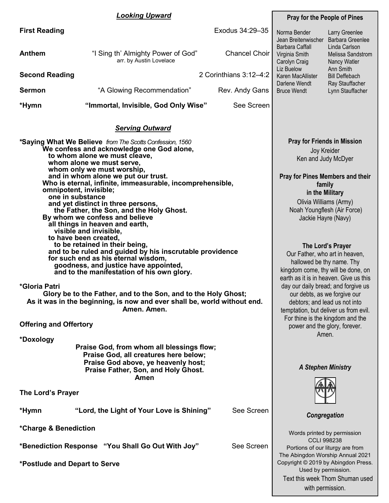## *Looking Upward*

|                       | <b>Looking Upward</b>                                         |                        | <b>Pray for the People of Pines</b>                |                                                       |
|-----------------------|---------------------------------------------------------------|------------------------|----------------------------------------------------|-------------------------------------------------------|
| <b>First Reading</b>  |                                                               | Exodus 34:29-35        | Norma Bender<br>Jean Breitenwischer                | Larry Greenlee<br>Barbara Greenlee                    |
| <b>Anthem</b>         | "I Sing th' Almighty Power of God"<br>arr. by Austin Lovelace | <b>Chancel Choir</b>   | Barbara Caffall<br>Virginia Smith<br>Carolyn Craig | Linda Carlson<br>Melissa Sandstrom<br>Nancy Watler    |
| <b>Second Reading</b> |                                                               | 2 Corinthians 3:12-4:2 | Liz Buelow<br>Karen MacAllister<br>Darlene Wendt   | Ann Smith<br><b>Bill Deffebach</b><br>Ray Stauffacher |
| <b>Sermon</b>         | "A Glowing Recommendation"                                    | Rev. Andy Gans         | <b>Bruce Wendt</b>                                 | Lynn Stauffacher                                      |
| *Hymn                 | "Immortal, Invisible, God Only Wise"                          | See Screen             |                                                    |                                                       |

## *Serving Outward*

| *Saying What We Believe from The Scotts Confession, 1560       |
|----------------------------------------------------------------|
| We confess and acknowledge one God alone,                      |
| to whom alone we must cleave,                                  |
| whom alone we must serve,                                      |
| whom only we must worship,                                     |
| and in whom alone we put our trust.                            |
|                                                                |
| Who is eternal, infinite, immeasurable, incomprehensible,      |
| omnipotent, invisible;                                         |
| one in substance                                               |
| and yet distinct in three persons,                             |
| the Father, the Son, and the Holy Ghost.                       |
| By whom we confess and believe                                 |
| all things in heaven and earth,                                |
| visible and invisible,                                         |
| to have been created,                                          |
| to be retained in their being,                                 |
| and to be ruled and guided by his inscrutable providence       |
| for such end as his eternal wisdom,                            |
| goodness, and justice have appointed,                          |
| and to the manifestation of his own glory.                     |
|                                                                |
| *Gloria Patri                                                  |
| Glory be to the Father, and to the Son, and to the Holy Ghost; |
|                                                                |

**As it was in the beginning, is now and ever shall be, world without end. Amen. Amen.** 

|  |  | <b>Offering and Offertory</b> |
|--|--|-------------------------------|
|--|--|-------------------------------|

**\*Doxology**

**Praise God, from whom all blessings flow; Praise God, all creatures here below; Praise God above, ye heavenly host; Praise Father, Son, and Holy Ghost. Amen** 

| The Lord's Prayer     |                                                   |            |
|-----------------------|---------------------------------------------------|------------|
| *Hymn                 | "Lord, the Light of Your Love is Shining"         | See Screen |
| *Charge & Benediction |                                                   |            |
|                       | *Benediction Response "You Shall Go Out With Joy" | See Screen |

**\*Postlude and Depart to Serve** 

#### **Pray for Friends in Mission** Joy Kreider Ken and Judy McDyer

## **Pray for Pines Members and their family in the Military** Olivia Williams (Army)

Noah Youngflesh (Air Force) Jackie Hayre (Navy)

## **The Lord's Prayer**

Our Father, who art in heaven, hallowed be thy name. Thy kingdom come, thy will be done, on earth as it is in heaven. Give us this day our daily bread; and forgive us our debts, as we forgive our debtors; and lead us not into temptation, but deliver us from evil. For thine is the kingdom and the power and the glory, forever. Amen.

## *A Stephen Ministry*



## *Congregation*

Words printed by permission CCLI 998238 Portions of our liturgy are from The Abingdon Worship Annual 2021 Copyright © 2019 by Abingdon Press. Used by permission. Text this week Thom Shuman used with permission.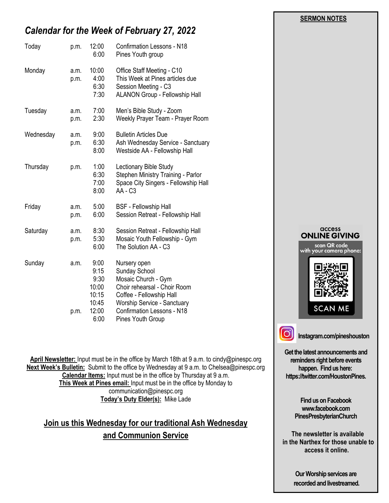# *Calendar for the Week of February 27, 2022*

| Today     | p.m.         | 12:00<br>6:00                                                    | <b>Confirmation Lessons - N18</b><br>Pines Youth group                                                                                                                                                                  |
|-----------|--------------|------------------------------------------------------------------|-------------------------------------------------------------------------------------------------------------------------------------------------------------------------------------------------------------------------|
| Monday    | a.m.<br>p.m. | 10:00<br>4:00<br>6:30<br>7:30                                    | Office Staff Meeting - C10<br>This Week at Pines articles due<br>Session Meeting - C3<br><b>ALANON Group - Fellowship Hall</b>                                                                                          |
| Tuesday   | a.m.<br>p.m. | 7:00<br>2:30                                                     | Men's Bible Study - Zoom<br>Weekly Prayer Team - Prayer Room                                                                                                                                                            |
| Wednesday | a.m.<br>p.m. | 9:00<br>6:30<br>8:00                                             | <b>Bulletin Articles Due</b><br>Ash Wednesday Service - Sanctuary<br>Westside AA - Fellowship Hall                                                                                                                      |
| Thursday  | p.m.         | 1:00<br>6:30<br>7:00<br>8:00                                     | Lectionary Bible Study<br>Stephen Ministry Training - Parlor<br>Space City Singers - Fellowship Hall<br>AA - C3                                                                                                         |
| Friday    | a.m.<br>p.m. | 5:00<br>6:00                                                     | <b>BSF</b> - Fellowship Hall<br>Session Retreat - Fellowship Hall                                                                                                                                                       |
| Saturday  | a.m.<br>p.m. | 8:30<br>5:30<br>6:00                                             | Session Retreat - Fellowship Hall<br>Mosaic Youth Fellowship - Gym<br>The Solution AA - C3                                                                                                                              |
| Sunday    | a.m.<br>p.m. | 9:00<br>9:15<br>9:30<br>10:00<br>10:15<br>10:45<br>12:00<br>6:00 | Nursery open<br>Sunday School<br>Mosaic Church - Gym<br>Choir rehearsal - Choir Room<br>Coffee - Fellowship Hall<br><b>Worship Service - Sanctuary</b><br><b>Confirmation Lessons - N18</b><br><b>Pines Youth Group</b> |

**April Newsletter:** Input must be in the office by March 18th at 9 a.m. to cindy@pinespc.org **Next Week's Bulletin:** Submit to the office by Wednesday at 9 a.m. to Chelsea@pinespc.org **Calendar Items:** Input must be in the office by Thursday at 9 a.m. **This Week at Pines email:** Input must be in the office by Monday to communication@pinespc.org **Today's Duty Elder(s):** Mike Lade

**Join us this Wednesday for our traditional Ash Wednesday and Communion Service** 



 **SERMON NOTES** 

**Get the latest announcements and reminders right before events happen. Find us here: https://twitter.com/HoustonPines.** 

> **Find us on Facebook www.facebook.com PinesPresbyterianChurch**

 **The newsletter is available in the Narthex for those unable to access it online.**

> **Our Worship services are recorded and livestreamed.**